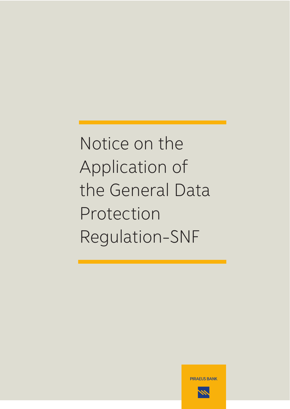Notice on the Application of the General Data Protection Regulation-SNF



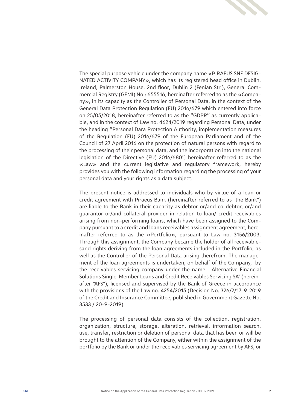

The special purpose vehicle under the company name «PIRAEUS SNF DESIG-NATED ACTIVITY COMPANY», which has its registered head office in Dublin, Ireland, Palmerston House, 2nd floor, Dublin 2 (Fenian Str.), General Commercial Registry (GEMI) No.: 655516, hereinafter referred to as the «Company», in its capacity as the Controller of Personal Data, in the context of the General Data Protection Regulation (EU) 2016/679 which entered into force on 25/05/2018, hereinafter referred to as the "GDPR" as currently applicable, and in the context of Law no. 4624/2019 regarding Personal Data, under the heading "Personal Dara Protection Authority, implementation measures of the Regulation (EU) 2016/679 of the European Parliament and of the Council of 27 April 2016 on the protection of natural persons with regard to the processing of their personal data, and the incorporation into the national legislation of the Directive (EU) 2016/680", hereinafter referred to as the «Law» and the current legislative and regulatory framework, hereby provides you with the following information regarding the processing of your personal data and your rights as a data subject.

The present notice is addressed to individuals who by virtue of a loan or credit agreement with Piraeus Bank (hereinafter referred to as "the Bank") are liable to the Bank in their capacity as debtor or/and co-debtor, or/and guarantor or/and collateral provider in relation to loan/ credit receivables arising from non-performing loans, which have been assigned to the Company pursuant to a credit and loans receivables assignment agreement, hereinafter referred to as the «Portfolio», pursuant to Law no. 3156/2003. Through this assignment, the Company became the holder of all receivablesand rights deriving from the loan agreements included in the Portfolio, as well as the Controller of the Personal Data arising therefrom. The management of the loan agreements is undertaken, on behalf of the Company, by the receivables servicing company under the name " Alternative Financial Solutions Single-Member Loans and Credit Receivables Servicing SA" (hereinafter "AFS"), licensed and supervised by the Bank of Greece in accordance with the provisions of the Law no. 4254/2015 (Decision Νo. 326/2/17-9-2019 of the Credit and Insurance Committee, published in Government Gazette No. 3533 / 20-9-2019).

The processing of personal data consists of the collection, registration, organization, structure, storage, alteration, retrieval, information search, use, transfer, restriction or deletion of personal data that has been or will be brought to the attention of the Company, either within the assignment of the portfolio by the Bank or under the receivables servicing agreement by AFS, or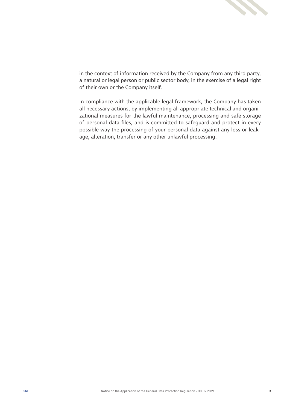

in the context of information received by the Company from any third party, a natural or legal person or public sector body, in the exercise of a legal right of their own or the Company itself.

In compliance with the applicable legal framework, the Company has taken all necessary actions, by implementing all appropriate technical and organizational measures for the lawful maintenance, processing and safe storage of personal data files, and is committed to safeguard and protect in every possible way the processing of your personal data against any loss or leakage, alteration, transfer or any other unlawful processing.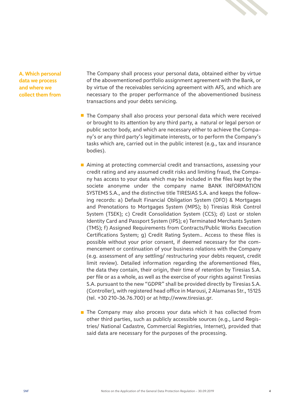

4

**A. Which personal data we process and where we collect them from** The Company shall process your personal data, obtained either by virtue of the abovementioned portfolio assignment agreement with the Bank, or by virtue of the receivables servicing agreement with AFS, and which are necessary to the proper performance of the abovementioned business transactions and your debts servicing.

- $\blacksquare$  The Company shall also process your personal data which were received or brought to its attention by any third party, a natural or legal person or public sector body, and which are necessary either to achieve the Company's or any third party's legitimate interests, or to perform the Company's tasks which are, carried out in the public interest (e.g., tax and insurance bodies).
- Aiming at protecting commercial credit and transactions, assessing your credit rating and any assumed credit risks and limiting fraud, the Company has access to your data which may be included in the files kept by the societe anonyme under the company name BANK INFORMATION SYSTEMS S.A., and the distinctive title TIRESIAS S.A. and keeps the following records: a) Default Financial Obligation System (DFO) & Mortgages and Prenotations to Mortgages System (MPS); b) Tiresias Risk Control System (TSEK); c) Credit Consolidation System (CCS); d) Lost or stolen Identity Card and Passport System (IPS); e) Terminated Merchants System (TMS); f) Assigned Requirements from Contracts/Public Works Execution Certifications System; g) Credit Rating System.. Access to these files is possible without your prior consent, if deemed necessary for the commencement or continuation of your business relations with the Company (e.g. assessment of any settling/ restructuring your debts request, credit limit review). Detailed information regarding the aforementioned files, the data they contain, their origin, their time of retention by Tiresias S.A. per file or as a whole, as well as the exercise of your rights against Tiresias S.A. pursuant to the new "GDPR" shall be provided directly by Tiresias S.A. (Controller), with registered head office in Marousi, 2 Alamanas Str., 15125 (tel. +30 210-36.76.700) or at http://www.tiresias.gr.
- $\blacksquare$  The Company may also process your data which it has collected from other third parties, such as publicly accessible sources (e.g., Land Registries/ National Cadastre, Commercial Registries, Internet), provided that said data are necessary for the purposes of the processing.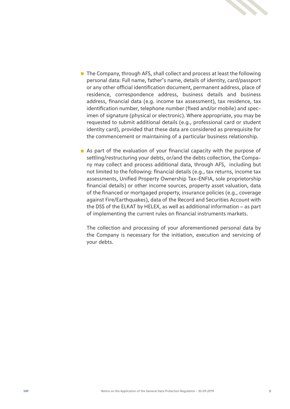

- $\blacksquare$  The Company, through AFS, shall collect and process at least the following personal data: Full name, father's name, details of identity, card/passport or any other official identification document, permanent address, place of residence, correspondence address, business details and business address, financial data (e.g. income tax assessment), tax residence, tax identification number, telephone number (fixed and/or mobile) and specimen of signature (physical or electronic). Where appropriate, you may be requested to submit additional details (e.g., professional card or student identity card), provided that these data are considered as prerequisite for the commencement or maintaining of a particular business relationship.
- As part of the evaluation of your financial capacity with the purpose of settling/restructuring your debts, or/and the debts collection, the Company may collect and process additional data, through AFS, including but not limited to the following: financial details (e.g., tax returns, income tax assessments, Unified Property Ownership Tax-ENFIA, sole proprietorship financial details) or other income sources, property asset valuation, data of the financed or mortgaged property, insurance policies (e.g., coverage against Fire/Earthquakes), data of the Record and Securities Account with the DSS of the ELKAT by HELEX, as well as additional information – as part of implementing the current rules on financial instruments markets.

The collection and processing of your aforementioned personal data by the Company is necessary for the initiation, execution and servicing of your debts.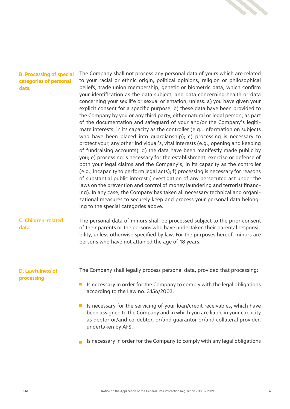

# **B. Processing of special categories of personal data**

The Company shall not process any personal data of yours which are related to your racial or ethnic origin, political opinions, religion or philosophical beliefs, trade union membership, genetic or biometric data, which confirm your identification as the data subject, and data concerning health or data concerning your sex life or sexual orientation, unless: a) you have given your explicit consent for a specific purpose; b) these data have been provided to the Company by you or any third party, either natural or legal person, as part of the documentation and safeguard of your and/or the Company's legitimate interests, in its capacity as the controller (e.g., information on subjects who have been placed into guardianship); c) processing is necessary to protect your, any other individual's, vital interests (e.g., opening and keeping of fundraising accounts); d) the data have been manifestly made public by you; e) processing is necessary for the establishment, exercise or defense of both your legal claims and the Company's, in its capacity as the controller (e.g., incapacity to perform legal acts); f) processing is necessary for reasons of substantial public interest (investigation of any persecuted act under the laws on the prevention and control of money laundering and terrorist financing). In any case, the Company has taken all necessary technical and organizational measures to securely keep and process your personal data belonging to the special categories above.

#### **C. Children-related data**

The personal data of minors shall be processed subject to the prior consent of their parents or the persons who have undertaken their parental responsibility, unless otherwise specified by law. For the purposes hereof, minors are persons who have not attained the age of 18 years.

# **D. Lawfulness of processing**

The Company shall legally process personal data, provided that processing:

- If is necessary in order for the Company to comply with the legal obligations according to the Law no. 3156/2003.
- Is necessary for the servicing of your loan/credit receivables, which have been assigned to the Company and in which you are liable in your capacity as debtor or/and co-debtor, or/and guarantor or/and collateral provider, undertaken by AFS.
- Is necessary in order for the Company to comply with any legal obligations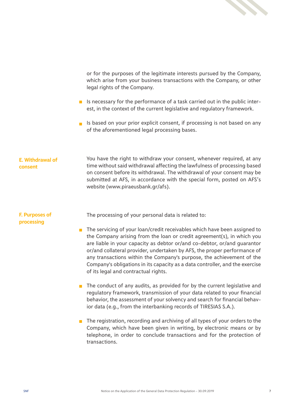

or for the purposes of the legitimate interests pursued by the Company, which arise from your business transactions with the Company, or other legal rights of the Company.

- Is necessary for the performance of a task carried out in the public interest, in the context of the current legislative and regulatory framework.
- Is based on your prior explicit consent, if processing is not based on any of the aforementioned legal processing bases.

## **Ε. Withdrawal of consent**

You have the right to withdraw your consent, whenever required, at any time without said withdrawal affecting the lawfulness of processing based on consent before its withdrawal. The withdrawal of your consent may be submitted at AFS, in accordance with the special form, posted on AFS's website (www.piraeusbank.gr/afs).

## **F. Purposes of processing**

The processing of your personal data is related to:

- $\blacksquare$  The servicing of your loan/credit receivables which have been assigned to the Company arising from the loan or credit agreement(s), in which you are liable in your capacity as debtor or/and co-debtor, or/and guarantor or/and collateral provider, undertaken by AFS, the proper performance of any transactions within the Company's purpose, the achievement of the Company's obligations in its capacity as a data controller, and the exercise of its legal and contractual rights.
- $\blacksquare$  The conduct of any audits, as provided for by the current legislative and regulatory framework, transmission of your data related to your financial behavior, the assessment of your solvency and search for financial behavior data (e.g., from the interbanking records of TIRESIAS S.A.).
- The registration, recording and archiving of all types of your orders to the Company, which have been given in writing, by electronic means or by telephone, in order to conclude transactions and for the protection of transactions.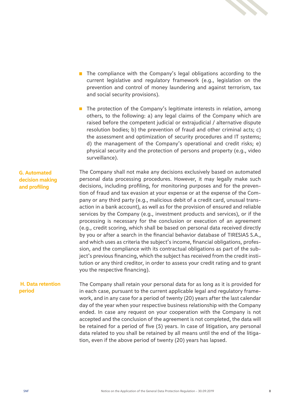

- **T** The compliance with the Company's legal obligations according to the current legislative and regulatory framework (e.g., legislation on the prevention and control of money laundering and against terrorism, tax and social security provisions).
- $\blacksquare$  The protection of the Company's legitimate interests in relation, among others, to the following: a) any legal claims of the Company which are raised before the competent judicial or extrajudicial / alternative dispute resolution bodies; b) the prevention of fraud and other criminal acts; c) the assessment and optimization of security procedures and IT systems; d) the management of the Company's operational and credit risks; e) physical security and the protection of persons and property (e.g., video surveillance).

# **G. Automated decision making and profiling**

The Company shall not make any decisions exclusively based on automated personal data processing procedures. However, it may legally make such decisions, including profiling, for monitoring purposes and for the prevention of fraud and tax evasion at your expense or at the expense of the Company or any third party (e.g., malicious debit of a credit card, unusual transaction in a bank account), as well as for the provision of ensured and reliable services by the Company (e.g., investment products and services), or if the processing is necessary for the conclusion or execution of an agreement (e.g., credit scoring, which shall be based on personal data received directly by you or after a search in the financial behavior database of TIRESIAS S.A., and which uses as criteria the subject's income, financial obligations, profession, and the compliance with its contractual obligations as part of the subject's previous financing, which the subject has received from the credit institution or any third creditor, in order to assess your credit rating and to grant you the respective financing).

#### **H. Data retention period**

The Company shall retain your personal data for as long as it is provided for in each case, pursuant to the current applicable legal and regulatory framework, and in any case for a period of twenty (20) years after the last calendar day of the year when your respective business relationship with the Company ended. In case any request on your cooperation with the Company is not accepted and the conclusion of the agreement is not completed, the data will be retained for a period of five (5) years. In case of litigation, any personal data related to you shall be retained by all means until the end of the litigation, even if the above period of twenty (20) years has lapsed.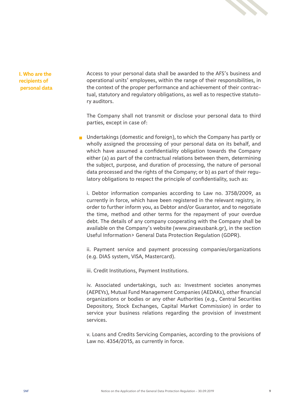

**I. Who are the recipients of personal data** Access to your personal data shall be awarded to the AFS's business and operational units' employees, within the range of their responsibilities, in the context of the proper performance and achievement of their contractual, statutory and regulatory obligations, as well as to respective statutory auditors.

The Company shall not transmit or disclose your personal data to third parties, except in case of:

**Undertakings (domestic and foreign), to which the Company has partly or** wholly assigned the processing of your personal data on its behalf, and which have assumed a confidentiality obligation towards the Company either (a) as part of the contractual relations between them, determining the subject, purpose, and duration of processing, the nature of personal data processed and the rights of the Company; or b) as part of their regulatory obligations to respect the principle of confidentiality, such as:

i. Debtor information companies according to Law no. 3758/2009, as currently in force, which have been registered in the relevant registry, in order to further inform you, as Debtor and/or Guarantor, and to negotiate the time, method and other terms for the repayment of your overdue debt. The details of any company cooperating with the Company shall be available on the Company's website (www.piraeusbank.gr), in the section Useful Information> General Data Protection Regulation (GDPR).

ii. Payment service and payment processing companies/organizations (e.g. DIAS system, VISA, Mastercard).

iii. Credit Institutions, Payment Institutions.

iv. Associated undertakings, such as: Investment societes anonymes (AEPEYs), Mutual Fund Management Companies (AEDAKs), other financial organizations or bodies or any other Authorities (e.g., Central Securities Depository, Stock Exchanges, Capital Market Commission) in order to service your business relations regarding the provision of investment services.

v. Loans and Credits Servicing Companies, according to the provisions of Law no. 4354/2015, as currently in force.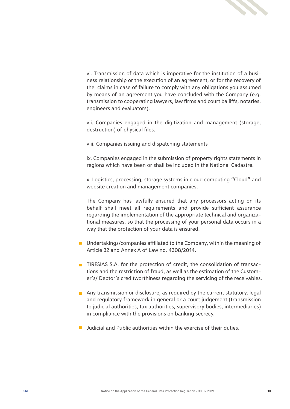

vi. Transmission of data which is imperative for the institution of a business relationship or the execution of an agreement, or for the recovery of the claims in case of failure to comply with any obligations you assumed by means of an agreement you have concluded with the Company (e.g. transmission to cooperating lawyers, law firms and court bailiffs, notaries, engineers and evaluators).

vii. Companies engaged in the digitization and management (storage, destruction) of physical files.

viii. Companies issuing and dispatching statements

ix. Companies engaged in the submission of property rights statements in regions which have been or shall be included in the National Cadastre.

x. Logistics, processing, storage systems in cloud computing "Cloud" and website creation and management companies.

The Company has lawfully ensured that any processors acting on its behalf shall meet all requirements and provide sufficient assurance regarding the implementation of the appropriate technical and organizational measures, so that the processing of your personal data occurs in a way that the protection of your data is ensured.

- Undertakings/companies affiliated to the Company, within the meaning of Article 32 and Annex A of Law no. 4308/2014.
- $\blacksquare$  TIRESIAS S.A. for the protection of credit, the consolidation of transactions and the restriction of fraud, as well as the estimation of the Customer's/ Debtor's creditworthiness regarding the servicing of the receivables.
- **n** Any transmission or disclosure, as required by the current statutory, legal and regulatory framework in general or a court judgement (transmission to judicial authorities, tax authorities, supervisory bodies, intermediaries) in compliance with the provisions on banking secrecy.
- **Judicial and Public authorities within the exercise of their duties.**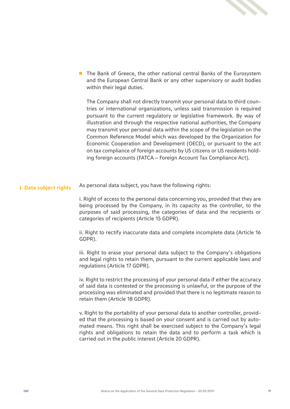

■ The Bank of Greece, the other national central Banks of the Eurosystem and the European Central Bank or any other supervisory or audit bodies within their legal duties.

The Company shall not directly transmit your personal data to third countries or international organizations, unless said transmission is required pursuant to the current regulatory or legislative framework. By way of illustration and through the respective national authorities, the Company may transmit your personal data within the scope of the legislation on the Common Reference Model which was developed by the Organization for Economic Cooperation and Development (OECD), or pursuant to the act on tax compliance of foreign accounts by US citizens or US residents holding foreign accounts (FATCA – Foreign Account Tax Compliance Act).

#### **J. Data subject rights** As personal data subject, you have the following rights:

i. Right of access to the personal data concerning you, provided that they are being processed by the Company, in its capacity as the controller, to the purposes of said processing, the categories of data and the recipients or categories of recipients (Article 15 GDPR).

ii. Right to rectify inaccurate data and complete incomplete data (Article 16 GDPR).

iii. Right to erase your personal data subject to the Company's obligations and legal rights to retain them, pursuant to the current applicable laws and regulations (Article 17 GDPR).

iv. Right to restrict the processing of your personal data if either the accuracy of said data is contested or the processing is unlawful, or the purpose of the processing was eliminated and provided that there is no legitimate reason to retain them (Article 18 GDPR).

v. Right to the portability of your personal data to another controller, provided that the processing is based on your consent and is carried out by automated means. This right shall be exercised subject to the Company's legal rights and obligations to retain the data and to perform a task which is carried out in the public interest (Article 20 GDPR).